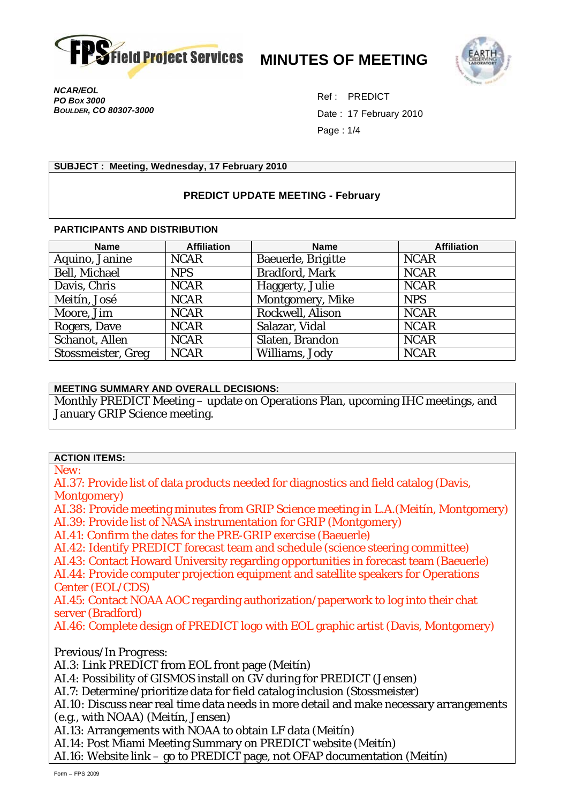

**MINUTES OF MEETING** 



*NCAR/EOL PO BOX 3000 BOULDER, CO 80307-3000* 

Ref : PREDICT Date : 17 February 2010 Page : 1/4

#### **SUBJECT : Meeting, Wednesday, 17 February 2010**

#### **PREDICT UPDATE MEETING - February**

#### **PARTICIPANTS AND DISTRIBUTION**

| <b>Name</b>        | <b>Affiliation</b> | <b>Name</b>        | <b>Affiliation</b> |  |
|--------------------|--------------------|--------------------|--------------------|--|
| Aquino, Janine     | <b>NCAR</b>        | Baeuerle, Brigitte | <b>NCAR</b>        |  |
| Bell, Michael      | <b>NPS</b>         | Bradford, Mark     | <b>NCAR</b>        |  |
| Davis, Chris       | <b>NCAR</b>        | Haggerty, Julie    | <b>NCAR</b>        |  |
| Meitín, José       | <b>NCAR</b>        | Montgomery, Mike   | <b>NPS</b>         |  |
| Moore, Jim         | <b>NCAR</b>        | Rockwell, Alison   | <b>NCAR</b>        |  |
| Rogers, Dave       | <b>NCAR</b>        | Salazar, Vidal     | <b>NCAR</b>        |  |
| Schanot, Allen     | <b>NCAR</b>        | Slaten, Brandon    | <b>NCAR</b>        |  |
| Stossmeister, Greg | <b>NCAR</b>        | Williams, Jody     | <b>NCAR</b>        |  |

#### **MEETING SUMMARY AND OVERALL DECISIONS:**

Monthly PREDICT Meeting – update on Operations Plan, upcoming IHC meetings, and January GRIP Science meeting.

## **ACTION ITEMS:**

*New:* 

AI.37: Provide list of data products needed for diagnostics and field catalog (Davis, Montgomery)

AI.38: Provide meeting minutes from GRIP Science meeting in L.A.(Meitín, Montgomery) AI.39: Provide list of NASA instrumentation for GRIP (Montgomery)

AI.41: Confirm the dates for the PRE-GRIP exercise (Baeuerle)

AI.42: Identify PREDICT forecast team and schedule (science steering committee)

AI.43: Contact Howard University regarding opportunities in forecast team (Baeuerle) AI.44: Provide computer projection equipment and satellite speakers for Operations Center (EOL/CDS)

AI.45: Contact NOAA AOC regarding authorization/paperwork to log into their chat server (Bradford)

AI.46: Complete design of PREDICT logo with EOL graphic artist (Davis, Montgomery)

*Previous/In Progress:* 

AI.3: Link PREDICT from EOL front page (Meitín)

AI.4: Possibility of GISMOS install on GV during for PREDICT (Jensen)

AI.7: Determine/prioritize data for field catalog inclusion (Stossmeister)

AI.10: Discuss near real time data needs in more detail and make necessary arrangements (e.g., with NOAA) (Meitín, Jensen)

AI.13: Arrangements with NOAA to obtain LF data (Meitín)

AI.14: Post Miami Meeting Summary on PREDICT website (Meitín)

AI.16: Website link – go to PREDICT page, not OFAP documentation (Meitín)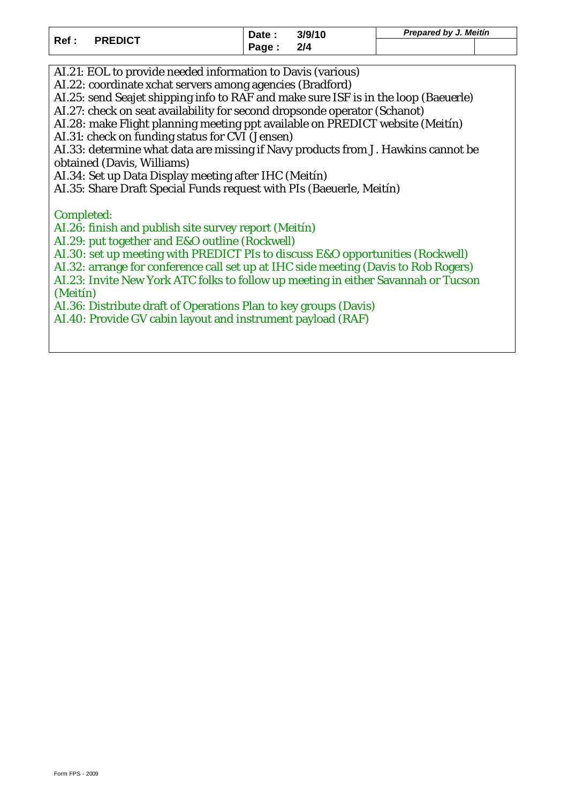| Ref : | <b>PREDICT</b> | Date : | 3/9/10<br>2/4 | Prepared by J. Meitín |  |
|-------|----------------|--------|---------------|-----------------------|--|
|       |                | Page:  |               |                       |  |

AI.21: EOL to provide needed information to Davis (various)

AI.22: coordinate xchat servers among agencies (Bradford)

AI.25: send Seajet shipping info to RAF and make sure ISF is in the loop (Baeuerle)

AI.27: check on seat availability for second dropsonde operator (Schanot)

AI.28: make Flight planning meeting ppt available on PREDICT website (Meitín)

AI.31: check on funding status for CVI (Jensen)

AI.33: determine what data are missing if Navy products from J. Hawkins cannot be obtained (Davis, Williams)

AI.34: Set up Data Display meeting after IHC (Meitín)

AI.35: Share Draft Special Funds request with PIs (Baeuerle, Meitín)

*Completed:* 

AI.26: finish and publish site survey report (Meitín)

AI.29: put together and E&O outline (Rockwell)

AI.30: set up meeting with PREDICT PIs to discuss E&O opportunities (Rockwell)

AI.32: arrange for conference call set up at IHC side meeting (Davis to Rob Rogers)

AI.23: Invite New York ATC folks to follow up meeting in either Savannah or Tucson (Meitín)

AI.36: Distribute draft of Operations Plan to key groups (Davis)

AI.40: Provide GV cabin layout and instrument payload (RAF)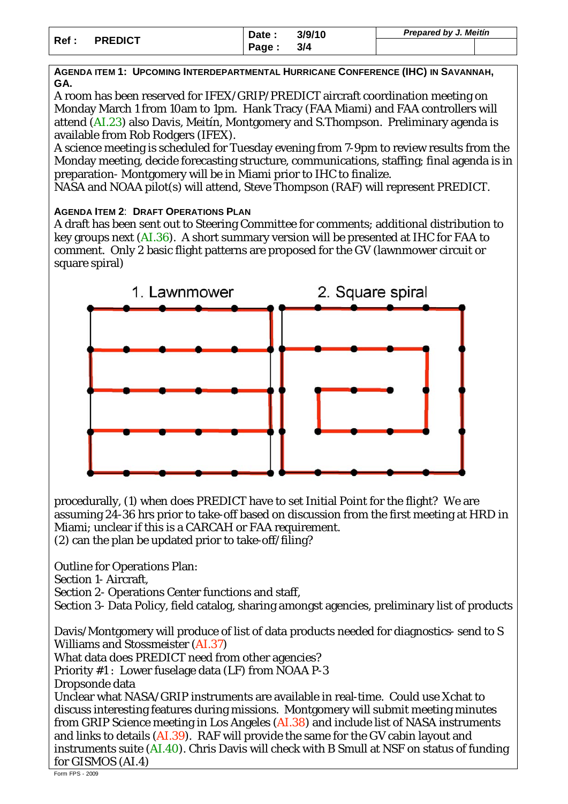| Ref | <b>PREDICT</b> | Date: | 3/9/10 | Prepared by J. Meitin |  |
|-----|----------------|-------|--------|-----------------------|--|
|     |                | Page: | 3/4    |                       |  |

**AGENDA ITEM 1: UPCOMING INTERDEPARTMENTAL HURRICANE CONFERENCE (IHC) IN SAVANNAH, GA.** 

A room has been reserved for IFEX/GRIP/PREDICT aircraft coordination meeting on Monday March 1 from 10am to 1pm. Hank Tracy (FAA Miami) and FAA controllers will attend (AI.23) also Davis, Meitín, Montgomery and S.Thompson. Preliminary agenda is available from Rob Rodgers (IFEX).

A science meeting is scheduled for Tuesday evening from 7-9pm to review results from the Monday meeting, decide forecasting structure, communications, staffing; final agenda is in preparation- Montgomery will be in Miami prior to IHC to finalize.

NASA and NOAA pilot(s) will attend, Steve Thompson (RAF) will represent PREDICT.

# **AGENDA ITEM 2**: **DRAFT OPERATIONS PLAN**

A draft has been sent out to Steering Committee for comments; additional distribution to key groups next (AI.36). A short summary version will be presented at IHC for FAA to comment. Only 2 basic flight patterns are proposed for the GV (lawnmower circuit or square spiral)



procedurally, (1) when does PREDICT have to set Initial Point for the flight? We are assuming 24-36 hrs prior to take-off based on discussion from the first meeting at HRD in Miami; unclear if this is a CARCAH or FAA requirement. (2) can the plan be updated prior to take-off/filing?

Outline for Operations Plan:

Section 1- Aircraft,

Section 2- Operations Center functions and staff,

Section 3- Data Policy, field catalog, sharing amongst agencies, preliminary list of products

Davis/Montgomery will produce of list of data products needed for diagnostics- send to S Williams and Stossmeister (AI.37)

What data does PREDICT need from other agencies?

Priority #1 : Lower fuselage data (LF) from NOAA P-3

Dropsonde data

Unclear what NASA/GRIP instruments are available in real-time. Could use Xchat to discuss interesting features during missions. Montgomery will submit meeting minutes from GRIP Science meeting in Los Angeles (AI.38) and include list of NASA instruments and links to details (AI.39). RAF will provide the same for the GV cabin layout and instruments suite (AI.40). Chris Davis will check with B Smull at NSF on status of funding for GISMOS (AI.4)